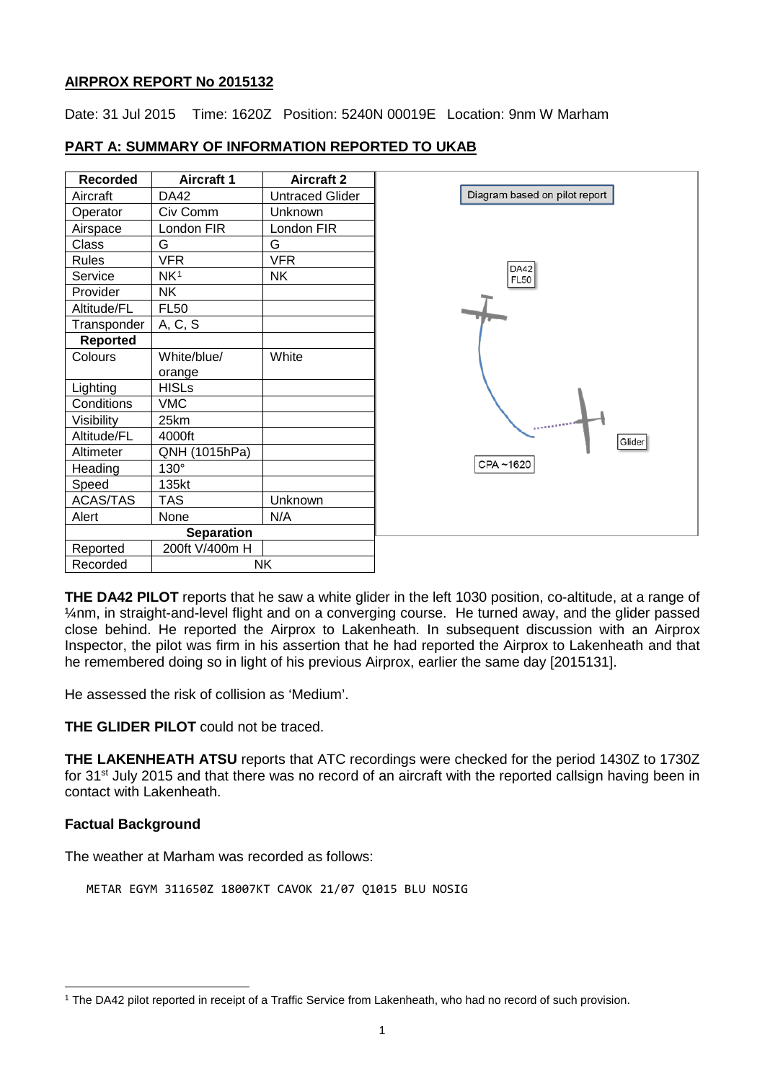## **AIRPROX REPORT No 2015132**

Date: 31 Jul 2015 Time: 1620Z Position: 5240N 00019E Location: 9nm W Marham

| <b>Recorded</b>   | Aircraft 1      | <b>Aircraft 2</b>      |
|-------------------|-----------------|------------------------|
| Aircraft          | DA42            | <b>Untraced Glider</b> |
| Operator          | Civ Comm        | <b>Unknown</b>         |
| Airspace          | London FIR      | London FIR             |
| Class             | G               | G                      |
| <b>Rules</b>      | <b>VFR</b>      | <b>VFR</b>             |
| Service           | NK <sup>1</sup> | <b>NK</b>              |
| Provider          | NΚ              |                        |
| Altitude/FL       | <b>FL50</b>     |                        |
| Transponder       | A, C, S         |                        |
| Reported          |                 |                        |
| Colours           | White/blue/     | White                  |
|                   | orange          |                        |
| Lighting          | <b>HISLs</b>    |                        |
| Conditions        | <b>VMC</b>      |                        |
| Visibility        | 25km            |                        |
| Altitude/FL       | 4000ft          |                        |
| Altimeter         | QNH (1015hPa)   |                        |
| Heading           | $130^\circ$     |                        |
| Speed             | 135kt           |                        |
| ACAS/TAS          | <b>TAS</b>      | Unknown                |
| Alert             | None            | N/A                    |
| <b>Separation</b> |                 |                        |
| Reported          | 200ft V/400m H  |                        |
| Recorded          | <b>NK</b>       |                        |

# **PART A: SUMMARY OF INFORMATION REPORTED TO UKAB**

**THE DA42 PILOT** reports that he saw a white glider in the left 1030 position, co-altitude, at a range of ¼nm, in straight-and-level flight and on a converging course. He turned away, and the glider passed close behind. He reported the Airprox to Lakenheath. In subsequent discussion with an Airprox Inspector, the pilot was firm in his assertion that he had reported the Airprox to Lakenheath and that he remembered doing so in light of his previous Airprox, earlier the same day [2015131].

He assessed the risk of collision as 'Medium'.

**THE GLIDER PILOT** could not be traced.

**THE LAKENHEATH ATSU** reports that ATC recordings were checked for the period 1430Z to 1730Z for 31<sup>st</sup> July 2015 and that there was no record of an aircraft with the reported callsign having been in contact with Lakenheath.

## **Factual Background**

 $\overline{\phantom{a}}$ 

The weather at Marham was recorded as follows:

METAR EGYM 311650Z 18007KT CAVOK 21/07 Q1015 BLU NOSIG

<span id="page-0-0"></span><sup>1</sup> The DA42 pilot reported in receipt of a Traffic Service from Lakenheath, who had no record of such provision.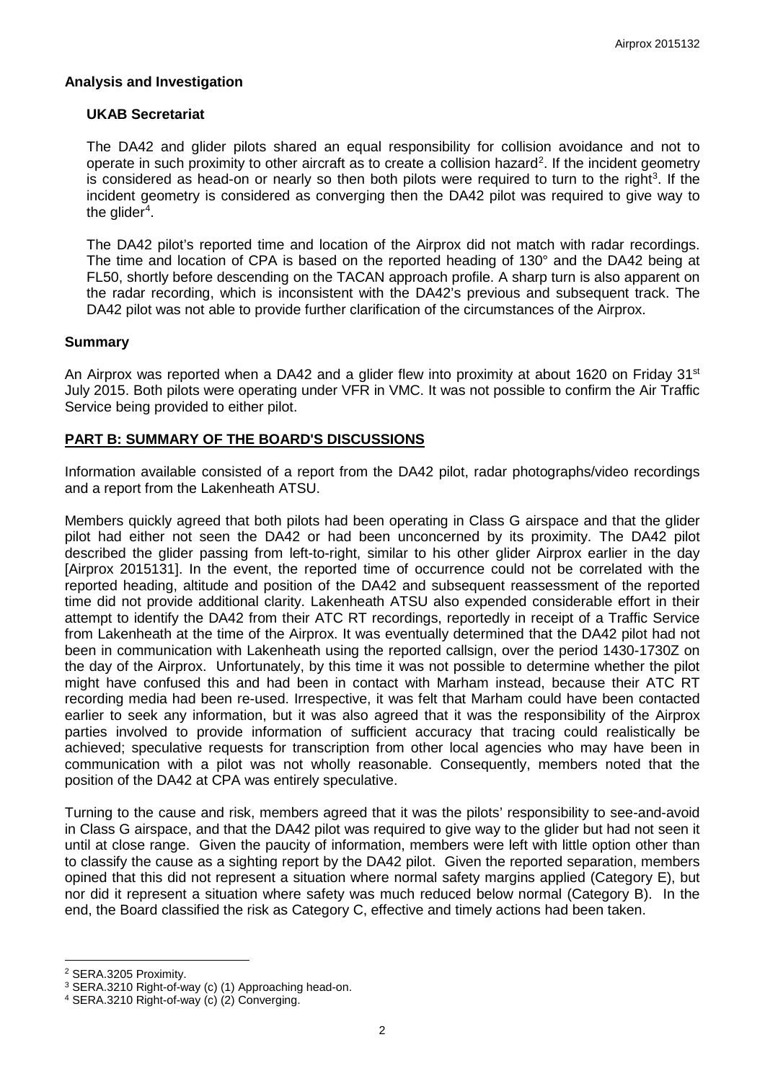### **Analysis and Investigation**

#### **UKAB Secretariat**

The DA42 and glider pilots shared an equal responsibility for collision avoidance and not to operate in such proximity to other aircraft as to create a collision hazard<sup>[2](#page-1-0)</sup>. If the incident geometry is considered as head-on or nearly so then both pilots were required to turn to the right<sup>[3](#page-1-1)</sup>. If the incident geometry is considered as converging then the DA42 pilot was required to give way to the glider $^4$  $^4$ .

The DA42 pilot's reported time and location of the Airprox did not match with radar recordings. The time and location of CPA is based on the reported heading of 130° and the DA42 being at FL50, shortly before descending on the TACAN approach profile. A sharp turn is also apparent on the radar recording, which is inconsistent with the DA42's previous and subsequent track. The DA42 pilot was not able to provide further clarification of the circumstances of the Airprox.

#### **Summary**

An Airprox was reported when a DA42 and a glider flew into proximity at about 1620 on Friday 31<sup>st</sup> July 2015. Both pilots were operating under VFR in VMC. It was not possible to confirm the Air Traffic Service being provided to either pilot.

## **PART B: SUMMARY OF THE BOARD'S DISCUSSIONS**

Information available consisted of a report from the DA42 pilot, radar photographs/video recordings and a report from the Lakenheath ATSU.

Members quickly agreed that both pilots had been operating in Class G airspace and that the glider pilot had either not seen the DA42 or had been unconcerned by its proximity. The DA42 pilot described the glider passing from left-to-right, similar to his other glider Airprox earlier in the day [Airprox 2015131]. In the event, the reported time of occurrence could not be correlated with the reported heading, altitude and position of the DA42 and subsequent reassessment of the reported time did not provide additional clarity. Lakenheath ATSU also expended considerable effort in their attempt to identify the DA42 from their ATC RT recordings, reportedly in receipt of a Traffic Service from Lakenheath at the time of the Airprox. It was eventually determined that the DA42 pilot had not been in communication with Lakenheath using the reported callsign, over the period 1430-1730Z on the day of the Airprox. Unfortunately, by this time it was not possible to determine whether the pilot might have confused this and had been in contact with Marham instead, because their ATC RT recording media had been re-used. Irrespective, it was felt that Marham could have been contacted earlier to seek any information, but it was also agreed that it was the responsibility of the Airprox parties involved to provide information of sufficient accuracy that tracing could realistically be achieved; speculative requests for transcription from other local agencies who may have been in communication with a pilot was not wholly reasonable. Consequently, members noted that the position of the DA42 at CPA was entirely speculative.

Turning to the cause and risk, members agreed that it was the pilots' responsibility to see-and-avoid in Class G airspace, and that the DA42 pilot was required to give way to the glider but had not seen it until at close range. Given the paucity of information, members were left with little option other than to classify the cause as a sighting report by the DA42 pilot. Given the reported separation, members opined that this did not represent a situation where normal safety margins applied (Category E), but nor did it represent a situation where safety was much reduced below normal (Category B). In the end, the Board classified the risk as Category C, effective and timely actions had been taken.

 $\overline{\phantom{a}}$ 

<span id="page-1-0"></span><sup>2</sup> SERA.3205 Proximity.

<span id="page-1-1"></span><sup>3</sup> SERA.3210 Right-of-way (c) (1) Approaching head-on.

<span id="page-1-2"></span><sup>4</sup> SERA.3210 Right-of-way (c) (2) Converging.